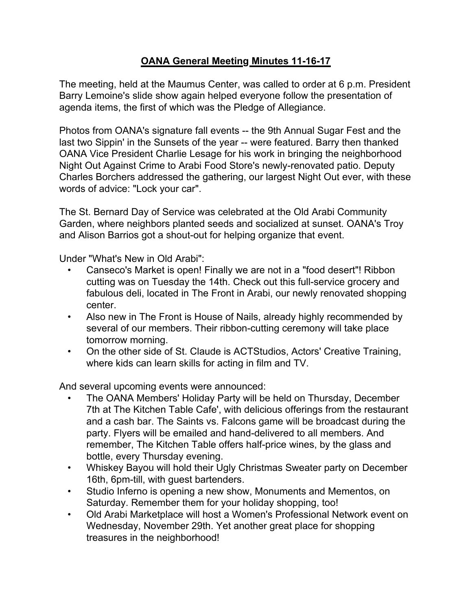## **OANA General Meeting Minutes 11-16-17**

The meeting, held at the Maumus Center, was called to order at 6 p.m. President Barry Lemoine's slide show again helped everyone follow the presentation of agenda items, the first of which was the Pledge of Allegiance.

Photos from OANA's signature fall events -- the 9th Annual Sugar Fest and the last two Sippin' in the Sunsets of the year -- were featured. Barry then thanked OANA Vice President Charlie Lesage for his work in bringing the neighborhood Night Out Against Crime to Arabi Food Store's newly-renovated patio. Deputy Charles Borchers addressed the gathering, our largest Night Out ever, with these words of advice: "Lock your car".

The St. Bernard Day of Service was celebrated at the Old Arabi Community Garden, where neighbors planted seeds and socialized at sunset. OANA's Troy and Alison Barrios got a shout-out for helping organize that event.

Under "What's New in Old Arabi":

- Canseco's Market is open! Finally we are not in a "food desert"! Ribbon cutting was on Tuesday the 14th. Check out this full-service grocery and fabulous deli, located in The Front in Arabi, our newly renovated shopping center.
- Also new in The Front is House of Nails, already highly recommended by several of our members. Their ribbon-cutting ceremony will take place tomorrow morning.
- On the other side of St. Claude is ACTStudios, Actors' Creative Training, where kids can learn skills for acting in film and TV.

And several upcoming events were announced:

- The OANA Members' Holiday Party will be held on Thursday, December 7th at The Kitchen Table Cafe', with delicious offerings from the restaurant and a cash bar. The Saints vs. Falcons game will be broadcast during the party. Flyers will be emailed and hand-delivered to all members. And remember, The Kitchen Table offers half-price wines, by the glass and bottle, every Thursday evening.
- Whiskey Bayou will hold their Ugly Christmas Sweater party on December 16th, 6pm-till, with guest bartenders.
- Studio Inferno is opening a new show, Monuments and Mementos, on Saturday. Remember them for your holiday shopping, too!
- Old Arabi Marketplace will host a Women's Professional Network event on Wednesday, November 29th. Yet another great place for shopping treasures in the neighborhood!